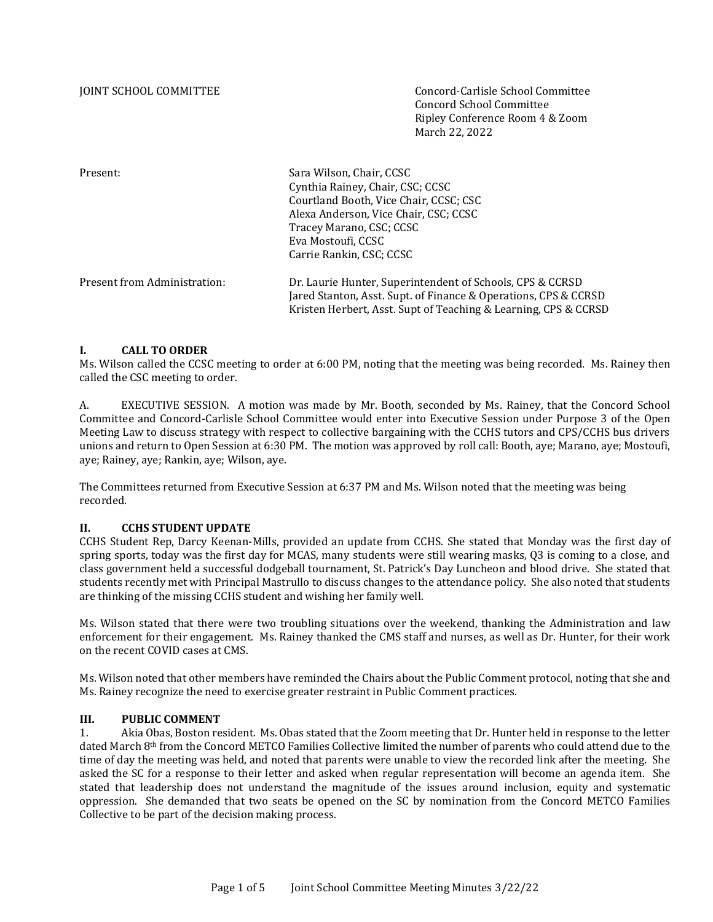JOINT SCHOOL COMMITTEE Concord-Carlisle School Committee Concord School Committee Ripley Conference Room 4 & Zoom March 22, 2022

Present: Sara Wilson, Chair, CCSC Cynthia Rainey, Chair, CSC; CCSC Courtland Booth, Vice Chair, CCSC; CSC Alexa Anderson, Vice Chair, CSC; CCSC Tracey Marano, CSC; CCSC Eva Mostoufi, CCSC Carrie Rankin, CSC; CCSC

| Present from Administration: | Dr. Laurie Hunter, Superintendent of Schools, CPS & CCRSD       |
|------------------------------|-----------------------------------------------------------------|
|                              | Jared Stanton, Asst. Supt. of Finance & Operations, CPS & CCRSD |
|                              | Kristen Herbert, Asst. Supt of Teaching & Learning, CPS & CCRSD |

#### **I. CALL TO ORDER**

Ms. Wilson called the CCSC meeting to order at 6:00 PM, noting that the meeting was being recorded. Ms. Rainey then called the CSC meeting to order.

A. EXECUTIVE SESSION. A motion was made by Mr. Booth, seconded by Ms. Rainey, that the Concord School Committee and Concord-Carlisle School Committee would enter into Executive Session under Purpose 3 of the Open Meeting Law to discuss strategy with respect to collective bargaining with the CCHS tutors and CPS/CCHS bus drivers unions and return to Open Session at 6:30 PM. The motion was approved by roll call: Booth, aye; Marano, aye; Mostoufi, aye; Rainey, aye; Rankin, aye; Wilson, aye.

The Committees returned from Executive Session at 6:37 PM and Ms. Wilson noted that the meeting was being recorded.

#### **II. CCHS STUDENT UPDATE**

CCHS Student Rep, Darcy Keenan-Mills, provided an update from CCHS. She stated that Monday was the first day of spring sports, today was the first day for MCAS, many students were still wearing masks, Q3 is coming to a close, and class government held a successful dodgeball tournament, St. Patrick's Day Luncheon and blood drive. She stated that students recently met with Principal Mastrullo to discuss changes to the attendance policy. She also noted that students are thinking of the missing CCHS student and wishing her family well.

Ms. Wilson stated that there were two troubling situations over the weekend, thanking the Administration and law enforcement for their engagement. Ms. Rainey thanked the CMS staff and nurses, as well as Dr. Hunter, for their work on the recent COVID cases at CMS.

Ms. Wilson noted that other members have reminded the Chairs about the Public Comment protocol, noting that she and Ms. Rainey recognize the need to exercise greater restraint in Public Comment practices.

#### **III. PUBLIC COMMENT**

1. Akia Obas, Boston resident. Ms. Obas stated that the Zoom meeting that Dr. Hunter held in response to the letter dated March 8th from the Concord METCO Families Collective limited the number of parents who could attend due to the time of day the meeting was held, and noted that parents were unable to view the recorded link after the meeting. She asked the SC for a response to their letter and asked when regular representation will become an agenda item. She stated that leadership does not understand the magnitude of the issues around inclusion, equity and systematic oppression. She demanded that two seats be opened on the SC by nomination from the Concord METCO Families Collective to be part of the decision making process.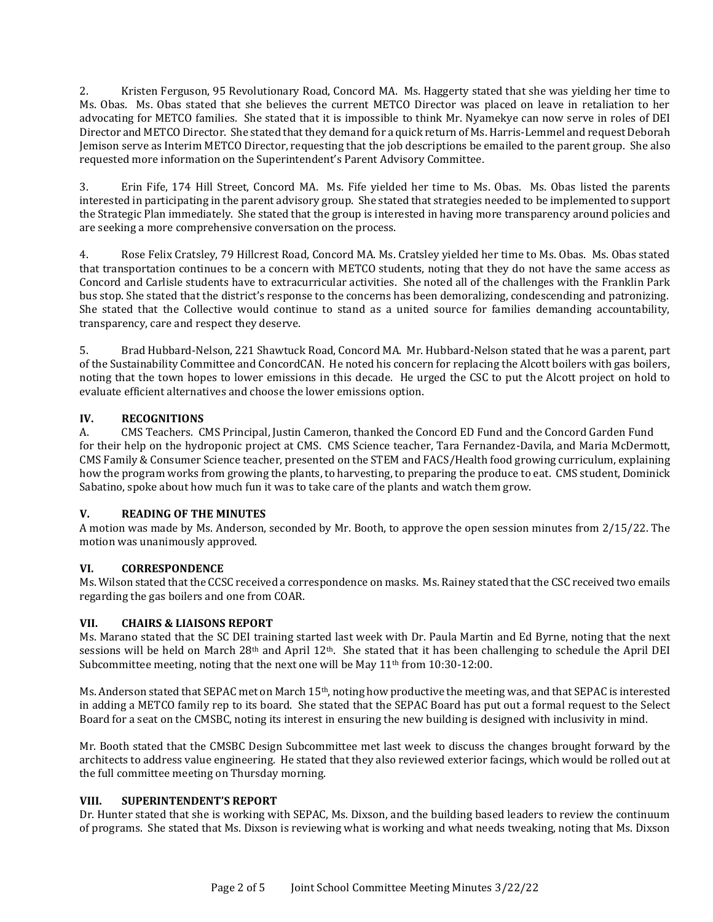2. Kristen Ferguson, 95 Revolutionary Road, Concord MA. Ms. Haggerty stated that she was yielding her time to Ms. Obas. Ms. Obas stated that she believes the current METCO Director was placed on leave in retaliation to her advocating for METCO families. She stated that it is impossible to think Mr. Nyamekye can now serve in roles of DEI Director and METCO Director. She stated that they demand for a quick return of Ms. Harris-Lemmel and request Deborah Jemison serve as Interim METCO Director, requesting that the job descriptions be emailed to the parent group. She also requested more information on the Superintendent's Parent Advisory Committee.

3. Erin Fife, 174 Hill Street, Concord MA. Ms. Fife yielded her time to Ms. Obas. Ms. Obas listed the parents interested in participating in the parent advisory group. She stated that strategies needed to be implemented to support the Strategic Plan immediately. She stated that the group is interested in having more transparency around policies and are seeking a more comprehensive conversation on the process.

4. Rose Felix Cratsley, 79 Hillcrest Road, Concord MA. Ms. Cratsley yielded her time to Ms. Obas. Ms. Obas stated that transportation continues to be a concern with METCO students, noting that they do not have the same access as Concord and Carlisle students have to extracurricular activities. She noted all of the challenges with the Franklin Park bus stop. She stated that the district's response to the concerns has been demoralizing, condescending and patronizing. She stated that the Collective would continue to stand as a united source for families demanding accountability, transparency, care and respect they deserve.

5. Brad Hubbard-Nelson, 221 Shawtuck Road, Concord MA. Mr. Hubbard-Nelson stated that he was a parent, part of the Sustainability Committee and ConcordCAN. He noted his concern for replacing the Alcott boilers with gas boilers, noting that the town hopes to lower emissions in this decade. He urged the CSC to put the Alcott project on hold to evaluate efficient alternatives and choose the lower emissions option.

# **IV. RECOGNITIONS**

A. CMS Teachers. CMS Principal, Justin Cameron, thanked the Concord ED Fund and the Concord Garden Fund for their help on the hydroponic project at CMS. CMS Science teacher, Tara Fernandez-Davila, and Maria McDermott, CMS Family & Consumer Science teacher, presented on the STEM and FACS/Health food growing curriculum, explaining how the program works from growing the plants, to harvesting, to preparing the produce to eat. CMS student, Dominick Sabatino, spoke about how much fun it was to take care of the plants and watch them grow.

# **V. READING OF THE MINUTES**

A motion was made by Ms. Anderson, seconded by Mr. Booth, to approve the open session minutes from 2/15/22. The motion was unanimously approved.

# **VI. CORRESPONDENCE**

Ms. Wilson stated that the CCSC received a correspondence on masks. Ms. Rainey stated that the CSC received two emails regarding the gas boilers and one from COAR.

# **VII. CHAIRS & LIAISONS REPORT**

Ms. Marano stated that the SC DEI training started last week with Dr. Paula Martin and Ed Byrne, noting that the next sessions will be held on March 28th and April 12th. She stated that it has been challenging to schedule the April DEI Subcommittee meeting, noting that the next one will be May  $11<sup>th</sup>$  from  $10:30-12:00$ .

Ms. Anderson stated that SEPAC met on March 15th, noting how productive the meeting was, and that SEPAC is interested in adding a METCO family rep to its board. She stated that the SEPAC Board has put out a formal request to the Select Board for a seat on the CMSBC, noting its interest in ensuring the new building is designed with inclusivity in mind.

Mr. Booth stated that the CMSBC Design Subcommittee met last week to discuss the changes brought forward by the architects to address value engineering. He stated that they also reviewed exterior facings, which would be rolled out at the full committee meeting on Thursday morning.

### **VIII. SUPERINTENDENT'S REPORT**

Dr. Hunter stated that she is working with SEPAC, Ms. Dixson, and the building based leaders to review the continuum of programs. She stated that Ms. Dixson is reviewing what is working and what needs tweaking, noting that Ms. Dixson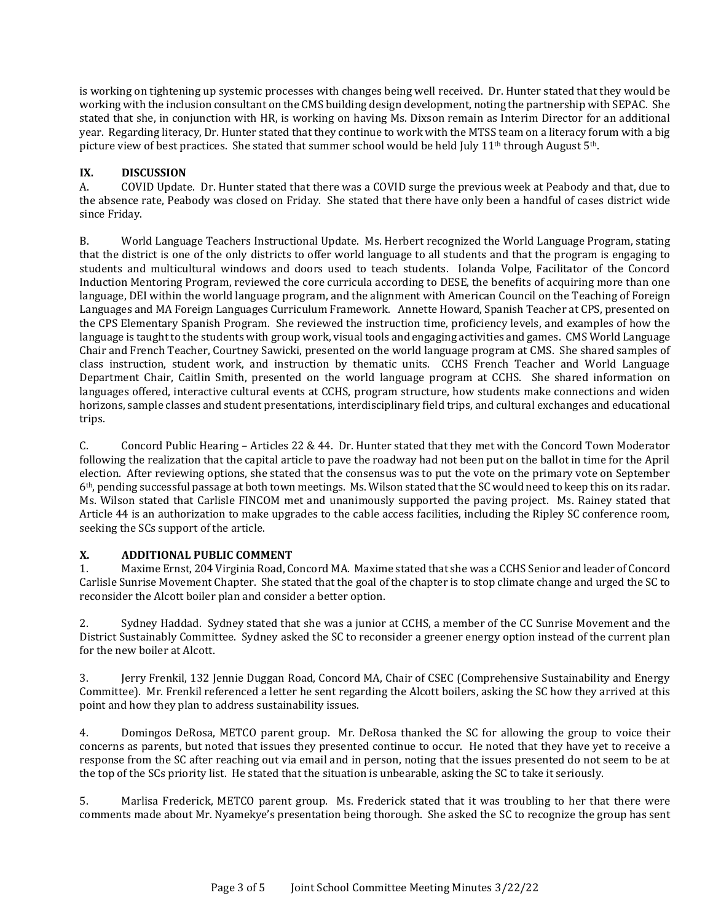is working on tightening up systemic processes with changes being well received. Dr. Hunter stated that they would be working with the inclusion consultant on the CMS building design development, noting the partnership with SEPAC. She stated that she, in conjunction with HR, is working on having Ms. Dixson remain as Interim Director for an additional year. Regarding literacy, Dr. Hunter stated that they continue to work with the MTSS team on a literacy forum with a big picture view of best practices. She stated that summer school would be held July 11<sup>th</sup> through August 5<sup>th</sup>.

# **IX. DISCUSSION**

A. COVID Update. Dr. Hunter stated that there was a COVID surge the previous week at Peabody and that, due to the absence rate, Peabody was closed on Friday. She stated that there have only been a handful of cases district wide since Friday.

B. World Language Teachers Instructional Update. Ms. Herbert recognized the World Language Program, stating that the district is one of the only districts to offer world language to all students and that the program is engaging to students and multicultural windows and doors used to teach students. Iolanda Volpe, Facilitator of the Concord Induction Mentoring Program, reviewed the core curricula according to DESE, the benefits of acquiring more than one language, DEI within the world language program, and the alignment with American Council on the Teaching of Foreign Languages and MA Foreign Languages Curriculum Framework. Annette Howard, Spanish Teacher at CPS, presented on the CPS Elementary Spanish Program. She reviewed the instruction time, proficiency levels, and examples of how the language is taught to the students with group work, visual tools and engaging activities and games. CMS World Language Chair and French Teacher, Courtney Sawicki, presented on the world language program at CMS. She shared samples of class instruction, student work, and instruction by thematic units. CCHS French Teacher and World Language Department Chair, Caitlin Smith, presented on the world language program at CCHS. She shared information on languages offered, interactive cultural events at CCHS, program structure, how students make connections and widen horizons, sample classes and student presentations, interdisciplinary field trips, and cultural exchanges and educational trips.

C. Concord Public Hearing – Articles 22 & 44. Dr. Hunter stated that they met with the Concord Town Moderator following the realization that the capital article to pave the roadway had not been put on the ballot in time for the April election. After reviewing options, she stated that the consensus was to put the vote on the primary vote on September 6th, pending successful passage at both town meetings. Ms. Wilson stated that the SC would need to keep this on its radar. Ms. Wilson stated that Carlisle FINCOM met and unanimously supported the paving project. Ms. Rainey stated that Article 44 is an authorization to make upgrades to the cable access facilities, including the Ripley SC conference room, seeking the SCs support of the article.

# **X. ADDITIONAL PUBLIC COMMENT**

1. Maxime Ernst, 204 Virginia Road, Concord MA. Maxime stated that she was a CCHS Senior and leader of Concord Carlisle Sunrise Movement Chapter. She stated that the goal of the chapter is to stop climate change and urged the SC to reconsider the Alcott boiler plan and consider a better option.

2. Sydney Haddad. Sydney stated that she was a junior at CCHS, a member of the CC Sunrise Movement and the District Sustainably Committee. Sydney asked the SC to reconsider a greener energy option instead of the current plan for the new boiler at Alcott.

3. Jerry Frenkil, 132 Jennie Duggan Road, Concord MA, Chair of CSEC (Comprehensive Sustainability and Energy Committee). Mr. Frenkil referenced a letter he sent regarding the Alcott boilers, asking the SC how they arrived at this point and how they plan to address sustainability issues.

4. Domingos DeRosa, METCO parent group. Mr. DeRosa thanked the SC for allowing the group to voice their concerns as parents, but noted that issues they presented continue to occur. He noted that they have yet to receive a response from the SC after reaching out via email and in person, noting that the issues presented do not seem to be at the top of the SCs priority list. He stated that the situation is unbearable, asking the SC to take it seriously.

5. Marlisa Frederick, METCO parent group. Ms. Frederick stated that it was troubling to her that there were comments made about Mr. Nyamekye's presentation being thorough. She asked the SC to recognize the group has sent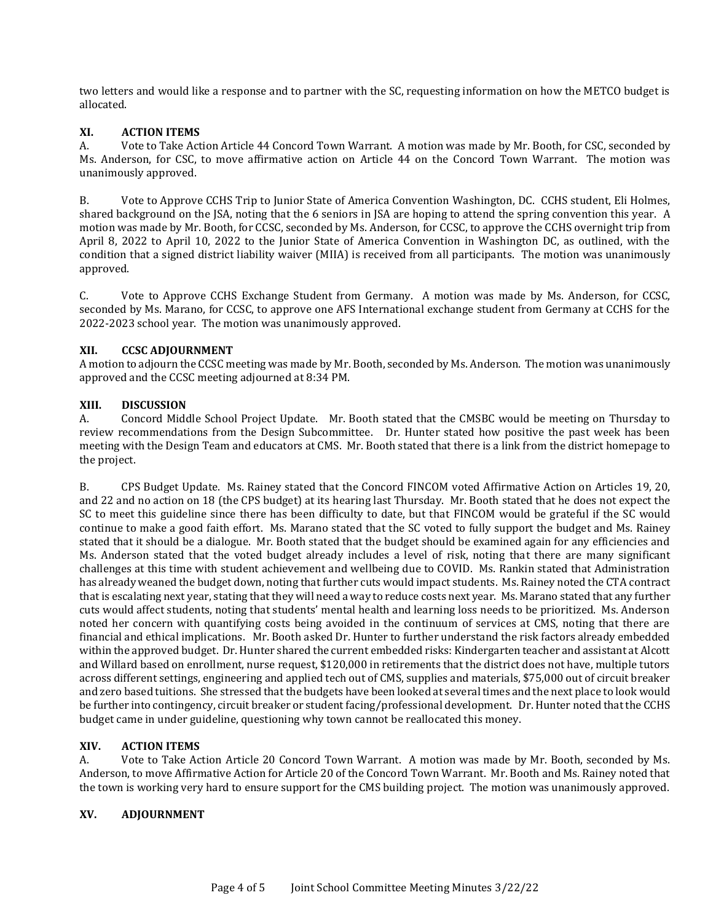two letters and would like a response and to partner with the SC, requesting information on how the METCO budget is allocated.

### **XI. ACTION ITEMS**

A. Vote to Take Action Article 44 Concord Town Warrant. A motion was made by Mr. Booth, for CSC, seconded by Ms. Anderson, for CSC, to move affirmative action on Article 44 on the Concord Town Warrant. The motion was unanimously approved.

B. Vote to Approve CCHS Trip to Junior State of America Convention Washington, DC. CCHS student, Eli Holmes, shared background on the JSA, noting that the 6 seniors in JSA are hoping to attend the spring convention this year. A motion was made by Mr. Booth, for CCSC, seconded by Ms. Anderson, for CCSC, to approve the CCHS overnight trip from April 8, 2022 to April 10, 2022 to the Junior State of America Convention in Washington DC, as outlined, with the condition that a signed district liability waiver (MIIA) is received from all participants. The motion was unanimously approved.

C. Vote to Approve CCHS Exchange Student from Germany. A motion was made by Ms. Anderson, for CCSC, seconded by Ms. Marano, for CCSC, to approve one AFS International exchange student from Germany at CCHS for the 2022-2023 school year. The motion was unanimously approved.

#### **XII. CCSC ADJOURNMENT**

A motion to adjourn the CCSC meeting was made by Mr. Booth, seconded by Ms. Anderson. The motion was unanimously approved and the CCSC meeting adjourned at 8:34 PM.

### **XIII. DISCUSSION**

A. Concord Middle School Project Update. Mr. Booth stated that the CMSBC would be meeting on Thursday to review recommendations from the Design Subcommittee. Dr. Hunter stated how positive the past week has been meeting with the Design Team and educators at CMS. Mr. Booth stated that there is a link from the district homepage to the project.

B. CPS Budget Update. Ms. Rainey stated that the Concord FINCOM voted Affirmative Action on Articles 19, 20, and 22 and no action on 18 (the CPS budget) at its hearing last Thursday. Mr. Booth stated that he does not expect the SC to meet this guideline since there has been difficulty to date, but that FINCOM would be grateful if the SC would continue to make a good faith effort. Ms. Marano stated that the SC voted to fully support the budget and Ms. Rainey stated that it should be a dialogue. Mr. Booth stated that the budget should be examined again for any efficiencies and Ms. Anderson stated that the voted budget already includes a level of risk, noting that there are many significant challenges at this time with student achievement and wellbeing due to COVID. Ms. Rankin stated that Administration has already weaned the budget down, noting that further cuts would impact students. Ms. Rainey noted the CTA contract that is escalating next year, stating that they will need a way to reduce costs next year. Ms. Marano stated that any further cuts would affect students, noting that students' mental health and learning loss needs to be prioritized. Ms. Anderson noted her concern with quantifying costs being avoided in the continuum of services at CMS, noting that there are financial and ethical implications. Mr. Booth asked Dr. Hunter to further understand the risk factors already embedded within the approved budget. Dr. Hunter shared the current embedded risks: Kindergarten teacher and assistant at Alcott and Willard based on enrollment, nurse request, \$120,000 in retirements that the district does not have, multiple tutors across different settings, engineering and applied tech out of CMS, supplies and materials, \$75,000 out of circuit breaker and zero based tuitions. She stressed that the budgets have been looked at several times and the next place to look would be further into contingency, circuit breaker or student facing/professional development. Dr. Hunter noted that the CCHS budget came in under guideline, questioning why town cannot be reallocated this money.

# **XIV. ACTION ITEMS**

A. Vote to Take Action Article 20 Concord Town Warrant. A motion was made by Mr. Booth, seconded by Ms. Anderson, to move Affirmative Action for Article 20 of the Concord Town Warrant. Mr. Booth and Ms. Rainey noted that the town is working very hard to ensure support for the CMS building project. The motion was unanimously approved.

#### **XV. ADJOURNMENT**